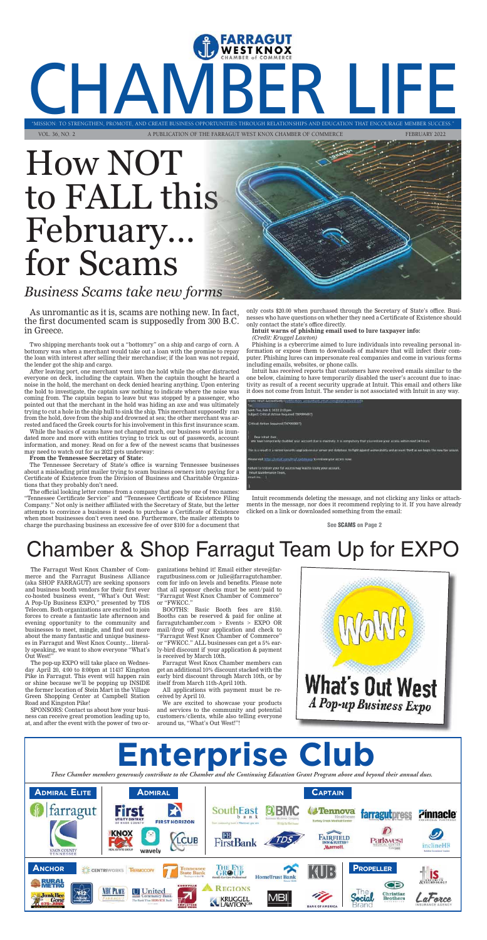### **Enterprise Club** *These Chamber members generously contribute to the Chamber and the Continuing Education Grant Program above and beyond their an nual dues.* **ADMIRAL ELITE ADMIRAL CAPTAIN** farragut SouthEast **Tennova** farragutpress **Pinnacle** b a n **FIRST HORIZON** Turkey Crook Medical Car FB **FAIRFIELD LCUB FirstBank** Parkwest **INN & SUITES** inclineHR Marriott. **KNOX COUNT** wavely **ANCHOR PROPELLER PROPELLER PROPELLER HomeTrust Bank** Œ **REGIONS U** United NHO PLACE Yī2 Christian<br>Brothers **Junk Bee** MBI ocial at orce **KRUGGEL** Gone LAWTON<sup>CI</sup> **BANK OF AMERICA**

### Chamber & Shop Farragut Team Up for EXPO

n Intuit Accountants

The Farragut West Knox Chamber of Commerce and the Farragut Business Alliance (aka SHOP FARRAGUT) are seeking sponsors and business booth vendors for their first ever co-hosted business event, "What's Out West: A Pop-Up Business EXPO," presented by TDS Telecom. Both organizations are excited to join forces to create a fantastic late afternoon and evening opportunity to the community and businesses to meet, mingle, and find out more about the many fantastic and unique businesses in Farragut and West Knox County... literally speaking, we want to show everyone "What's Out West!"

The pop-up EXPO will take place on Wednesday April 20, 4:00 to 8:00pm at 11437 Kingston Pike in Farragut. This event will happen rain or shine because we'll be popping up INSIDE the former location of Stein Mart in the Village Green Shopping Center at Campbell Station Road and Kingston Pike!

SPONSORS: Contact us about how your business can receive great promotion leading up to, at, and after the event with the power of two or-

ganizations behind it! Email either steve@farragutbusiness.com or julie@farragutchamber. com for info on levels and benefits. Please note that all sponsor checks must be sent/paid to "Farragut West Knox Chamber of Commerce" or "FWKCC."

BOOTHS: Basic Booth fees are \$150. Booths can be reserved & paid for online at farragutchamber.com > Events > EXPO OR mail/drop off your application and check to "Farragut West Knox Chamber of Commerce" or "FWKCC." ALL businesses can get a 5% early-bird discount if your application & payment is received by March 10th.

Farragut West Knox Chamber members can get an additional 10% discount stacked with the early bird discount through March 10th, or by itself from March 11th-April 10th.

All applications with payment must be received by April 10.

We are excited to showcase your products and services to the community and potential customers/clients, while also telling everyone around us, "What's Out West!"!



As unromantic as it is, scams are nothing new. In fact, the first documented scam is supposedly from 300 B.C. in Greece.

Two shipping merchants took out a "bottomry" on a ship and cargo of corn. A bottomry was when a merchant would take out a loan with the promise to repay the loan with interest after selling their merchandise; if the loan was not repaid, the lender got the ship and cargo.

After leaving port, one merchant went into the hold while the other distracted everyone on deck, including the captain. When the captain thought he heard a noise in the hold, the merchant on deck denied hearing anything. Upon entering the hold to investigate, the captain saw nothing to indicate where the noise was coming from. The captain began to leave but was stopped by a passenger, who pointed out that the merchant in the hold was hiding an axe and was ultimately trying to cut a hole in the ship hull to sink the ship. This merchant supposedly ran from the hold, dove from the ship and drowned at sea; the other merchant was arrested and faced the Greek courts for his involvement in this first insurance scam.

While the basics of scams have not changed much, our business world is inundated more and more with entities trying to trick us out of passwords, account information, and money. Read on for a few of the newest scams that businesses may need to watch out for as 2022 gets underway:

**From the Tennessee Secretary of State:**

The Tennessee Secretary of State's office is warning Tennessee businesses about a misleading print mailer trying to scam business owners into paying for a Certificate of Existence from the Division of Business and Charitable Organizations that they probably don't need.

The official looking letter comes from a company that goes by one of two names: "Tennessee Certificate Service" and "Tennessee Certificate of Existence Filing Company." Not only is neither affiliated with the Secretary of State, but the letter attempts to convince a business it needs to purchase a Certificate of Existence when most businesses don't even need one. Furthermore, the mailer attempts to charge the purchasing business an excessive fee of over \$100 for a document that

only costs \$20.00 when purchased through the Secretary of State's office. Businesses who have questions on whether they need a Certificate of Existence should only contact the state's office directly.

**Intuit warns of phishing email used to lure taxpayer info:**  *(Credit: Kruggel Lawton)*

Phishing is a cybercrime aimed to lure individuals into revealing personal information or expose them to downloads of malware that will infect their computer. Phishing lures can impersonate real companies and come in various forms including emails, websites, or phone calls.

Intuit has received reports that customers have received emails similar to the one below, claiming to have temporarily disabled the user's account due to inactivity as result of a recent security upgrade at Intuit. This email and others like it does not come from Intuit. The sender is not associated with Intuit in any way.

| 0 H 0 0 1<br>Sent: Tur, Feb 1, 2022 2:10 pm<br>Subject: Ortical: Action Required (TXIX99497)                                                                                                                                                                                 |
|------------------------------------------------------------------------------------------------------------------------------------------------------------------------------------------------------------------------------------------------------------------------------|
| Critical: Action Required (TXP099897)                                                                                                                                                                                                                                        |
| Dear Intuit Oser.<br>We have temporarily deabled your account due to inactivity. It is compulsory that you restore your access within next 24 hours.                                                                                                                         |
| This is a result of a recent security segrade on our server and database, to fight against willweakility and account theft as we hegin the rew tax season.<br>de contra consegue de composición de la consegue de la consegue de la consegue de la consegue de la consegue d |
| Please visit http://intuit.com/Pro/Lipdate.asp to restore your access now.                                                                                                                                                                                                   |
| Failure to restore your full access may lead to losing your account.<br>Intuit Maintenance Team.<br><b>MALIT INC.</b>                                                                                                                                                        |
|                                                                                                                                                                                                                                                                              |
|                                                                                                                                                                                                                                                                              |

Intuit recommends deleting the message, and not clicking any links or attachments in the message, nor does it recommend replying to it. If you have already clicked on a link or downloaded something from the email:

**See SCAMS on Page 2**

"MISSION: TO STRENGTHEN, PROMOTE, AND CREATE BUSINESS OPPORTUNITIES THROUGH RELATIONSHIPS AND EDUCATION THAT ENCOURAGE MEMBER SUCCESS." "MISSION: TO STRENGTHEN, PROMOTE, AND CREATE BUSINESS OPPORTUNITIES THROUGH RELATIONSHIPS AND EDUCATION THAT ENCOURAGE MEMBER S VOL. 36, NO. 2 A PUBLICATION OF THE FARRAGUT WEST KNOX CHAMBER OF COMMERCE FEBRUARY 2022

## How NOT to FALL this February… for Scams

### *Business Scams take new forms*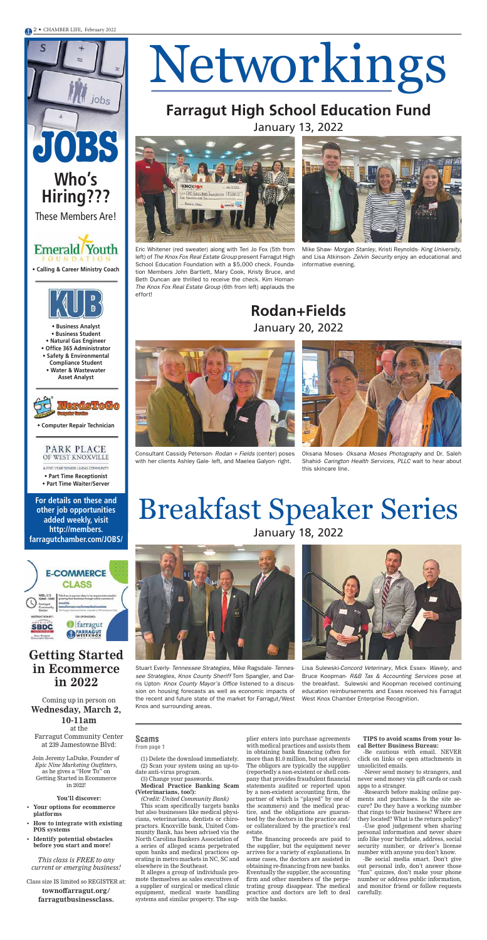# Networkings

### **Scams From page 1**

### Coming up in person on **Wednesday, March 2, 10-11am**

at the Farragut Community Center at 239 Jamestowne Blvd:

Join Jeremy LaDuke, Founder of *Epic Nine Marketing Outfitters*, as he gives a "How To" on Getting Started in Ecommerce in 2022!

### **You'll discover:**

- **Your options for ecommerce platforms**
- **How to integrate with existing POS systems**
- **Identify potential obstacles before you start and more!**

*This class is FREE to any current or emerging business!* 

Class size IS limited so REGISTER at:

**townoffarragut.org/ farragutbusinessclass.** 



## **Farragut High School Education Fund**

January 13, 2022





**JOBS**

jobs

**Who's** 

**Hiring???**

These Members Are!

**For details on these and other job opportunities added weekly, visit http://members. farragutchamber.com/JOBS/**

**• Calling & Career Ministry Coach**

**Emerald** Youth **OUNDATION** 

**• Computer Repair Technician**



A FIVE STAR SENIOR LIVING COMMUNITY

**• Part Time Receptionist • Part Time Waiter/Server**

- **Business Analyst • Business Student • Natural Gas Engineer**
- **Office 365 Administrator • Safety & Environmental**
- **Compliance Student • Water & Wastewater Asset Analyst**



(1) Delete the download immediately. (2) Scan your system using an up-todate anti-virus program.

(3) Change your passwords. **Medical Practice Banking Scam (Veterinarians, too!):** 

*(Credit: United Community Bank)* This scam specifically targets banks but also businesses like medical physicians, veterinarians, dentists or chiropractors. Knoxville bank, United Community Bank, has been advised via the North Carolina Bankers Association of a series of alleged scams perpetrated upon banks and medical practices operating in metro markets in NC, SC and elsewhere in the Southeast.

It alleges a group of individuals promote themselves as sales executives of a supplier of surgical or medical clinic equipment, medical waste handling systems and similar property. The sup-

plier enters into purchase agreements with medical practices and assists them in obtaining bank financing (often for more than \$1.0 million, but not always). The obligors are typically the supplier (reportedly a non-existent or shell company that provides fraudulent financial statements audited or reported upon by a non-existent accounting firm, the partner of which is "played" by one of the scammers) and the medical practice, and the obligations are guaranteed by the doctors in the practice and/ or collateralized by the practice's real estate.

The financing proceeds are paid to the supplier, but the equipment never arrives for a variety of explanations. In some cases, the doctors are assisted in obtaining re-financing from new banks. Eventually the supplier, the accounting firm and other members of the perpetrating group disappear. The medical practice and doctors are left to deal with the banks.

**TIPS to avoid scams from your local Better Business Bureau:**

-Be cautious with email. NEVER click on links or open attachments in unsolicited emails.

-Never send money to strangers, and never send money via gift cards or cash apps to a stranger.

-Research before making online payments and purchases. Is the site secure? Do they have a working number that rings to their business? Where are they located? What is the return policy?

-Use good judgement when sharing personal information and never share info like your birthdate, address, social security number, or driver's license number with anyone you don't know.

-Be social media smart. Don't give out personal info, don't answer those "fun" quizzes, don't make your phone number or address public information, and monitor friend or follow requests carefully.

### **Getting Started in Ecommerce in 2022**

## Breakfast Speaker Series January 18, 2022



Stuart Everly- Tennessee Strategies, Mike Ragsdale- Tennessee Strategies, Knox County Sheriff Tom Spangler, and Darris Upton- Knox County Mayor's Office listened to a discussion on housing forecasts as well as economic impacts of the recent and future state of the market for Farragut/West Knox and surrounding areas.



Eric Whitener (red sweater) along with Teri Jo Fox (5th from left) of The Knox Fox Real Estate Group present Farragut High School Education Foundation with a \$5,000 check. Foundation Members John Bartlett, Mary Cook, Kristy Bruce, and Beth Duncan are thrilled to receive the check. Kim Homan-The Knox Fox Real Estate Group (6th from left) applauds the effort!





Consultant Cassidy Peterson- Rodan + Fields (center) poses with her clients Ashley Gale- left, and Maelea Galyon- right.

Lisa Sulewski-Concord Veterinary, Mick Essex- Wavely, and Bruce Koopman- R&B Tax & Accounting Services pose at the breakfast. Sulewski and Koopman received continuing education reimbursements and Essex received his Farragut West Knox Chamber Enterprise Recognition.

Mike Shaw- Morgan Stanley, Kristi Reynolds- King University, and Lisa Atkinson- Zelvin Security enjoy an educational and informative evening.





Oksana Moses- Oksana Moses Photography and Dr. Saleh Shahid- Carington Health Services, PLLC wait to hear about this skincare line.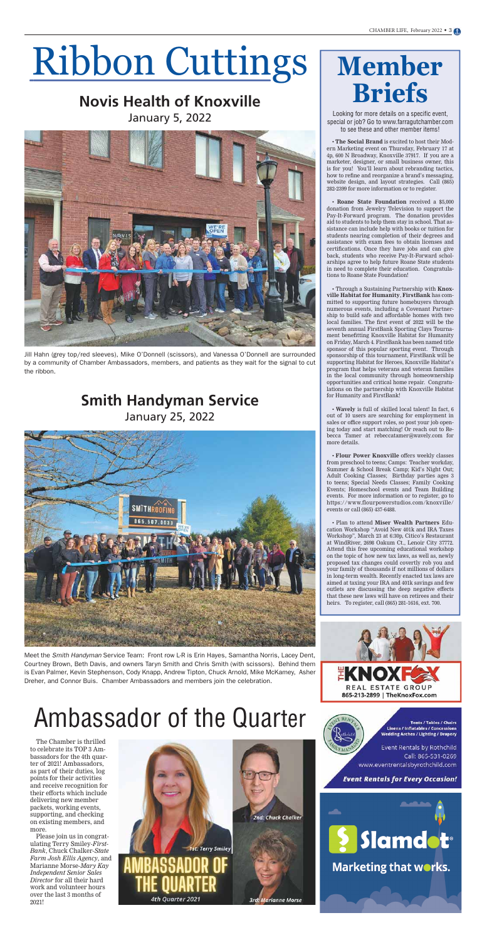## Ribbon Cuttings

### **Novis Health of Knoxville** January 5, 2022



### **Smith Handyman Service** January 25, 2022



# **Member**

for more details on a specificity for more details on a specific<br>**bridges** Go to www.farragutcha Looking for more details on a specific event, special or job? Go to www.farragutchamber.com to see these and other member items!

• **The Social Brand** is excited to host their Modern Marketing event on Thursday, February 17 at 4p, 600 N Broadway, Knoxville 37917. If you are a marketer, designer, or small business owner, this is for you! You'll learn about rebranding tactics, how to refine and reorganize a brand's messaging, website design, and layout strategies. Call (865) 282-2399 for more information or to register.

• **Roane State Foundation** received a \$5,000 donation from Jewelry Television to support the Pay-It-Forward program. The donation provides aid to students to help them stay in school. That assistance can include help with books or tuition for students nearing completion of their degrees and assistance with exam fees to obtain licenses and certifications. Once they have jobs and can give back, students who receive Pay-It-Forward scholarships agree to help future Roane State students in need to complete their education. Congratulations to Roane State Foundation!

• Through a Sustaining Partnership with **Knoxville Habitat for Humanity**, **FirstBank** has committed to supporting future homebuyers through numerous events, including a Covenant Partnership to build safe and affordable homes with two local families. The first event of 2022 will be the seventh annual FirstBank Sporting Clays Tournament benefitting Knoxville Habitat for Humanity on Friday, March 4. FirstBank has been named title sponsor of this popular sporting event. Through sponsorship of this tournament, FirstBank will be supporting Habitat for Heroes, Knoxville Habitat's program that helps veterans and veteran families in the local community through homeownership opportunities and critical home repair. Congratulations on the partnership with Knoxville Habitat for Humanity and FirstBank!

• **Wavely** is full of skilled local talent! In fact, 6 out of 10 users are searching for employment in sales or office support roles, so post your job opening today and start matching! Or reach out to Rebecca Tamer at rebeccatamer@wavely.com for more details.

• **Flour Power Knoxville** offers weekly classes from preschool to teens; Camps: Teacher workday, Summer & School Break Camp; Kid's Night Out; Adult Cooking Classes; Birthday parties ages 3 to teens; Special Needs Classes; Family Cooking Events; Homeschool events and Team Building events. For more information or to register, go to https://www.flourpowerstudios.com/knoxville/ events or call (865) 437-6488.

• Plan to attend **Miser Wealth Partners** Education Workshop "Avoid New 401k and IRA Taxes Workshop", March 23 at 6:30p, Citico's Restaurant at WindRiver, 2698 Oakum Ct., Lenoir City 37772.

Attend this free upcoming educational workshop on the topic of how new tax laws, as well as, newly proposed tax changes could covertly rob you and your family of thousands if not millions of dollars in long-term wealth. Recently enacted tax laws are aimed at taxing your IRA and 401k savings and few outlets are discussing the deep negative effects that these new laws will have on retirees and their heirs. To register, call (865) 281-1616, ext. 700.



REAL ESTATE GROUP 865-213-2899 | TheKnoxFox.com

> **Tents / Tables / Chairs Linens / Inflatables / Concessions** Wedding Arches / Lighting / Drapery

Event Rentals by Rothchild Call: 865-531-0269 www.eventrentalsbyrothchild.com

**Event Rentals for Every Occasion!** 



Marketing that works.

## Ambassador of the Quarter

The Chamber is thrilled to celebrate its TOP 3 Ambassadors for the 4th quarter of 2021! Ambassadors, as part of their duties, log points for their activities and receive recognition for their efforts which include delivering new member packets, working events, supporting, and checking on existing members, and more.

Please join us in congratulating Terry Smiley-*First-Bank*, Chuck Chalker-*State Farm Josh Ellis Agency*, and Marianne Morse-*Mary Kay Independent Senior Sales Director* for all their hard work and volunteer hours over the last 3 months of 2021!



**2nd: Chuck Chalker** 

Jill Hahn (grey top/red sleeves), Mike O'Donnell (scissors), and Vanessa O'Donnell are surrounded by a community of Chamber Ambassadors, members, and patients as they wait for the signal to cut the ribbon.

Meet the Smith Handyman Service Team: Front row L-R is Erin Hayes, Samantha Norris, Lacey Dent, Courtney Brown, Beth Davis, and owners Taryn Smith and Chris Smith (with scissors). Behind them is Evan Palmer, Kevin Stephenson, Cody Knapp, Andrew Tipton, Chuck Arnold, Mike McKamey, Asher Dreher, and Connor Buis. Chamber Ambassadors and members join the celebration.